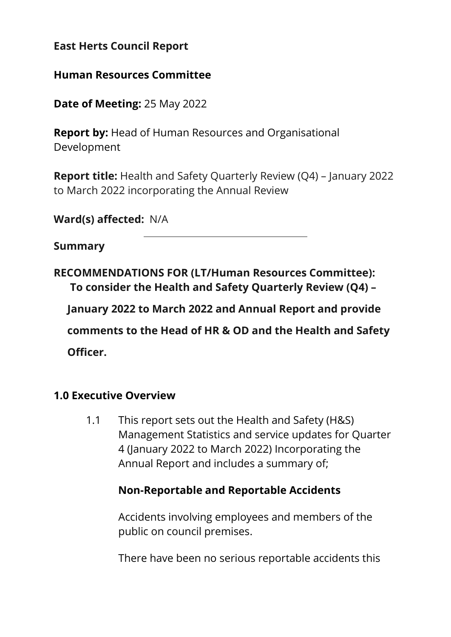### **East Herts Council Report**

#### **Human Resources Committee**

**Date of Meeting:** 25 May 2022

**Report by:** Head of Human Resources and Organisational Development

**Report title:** Health and Safety Quarterly Review (Q4) – January 2022 to March 2022 incorporating the Annual Review

**Ward(s) affected:** N/A

#### **Summary**

**RECOMMENDATIONS FOR (LT/Human Resources Committee): To consider the Health and Safety Quarterly Review (Q4) –**

**January 2022 to March 2022 and Annual Report and provide** 

**comments to the Head of HR & OD and the Health and Safety Officer.** 

#### **1.0 Executive Overview**

1.1 This report sets out the Health and Safety (H&S) Management Statistics and service updates for Quarter 4 (January 2022 to March 2022) Incorporating the Annual Report and includes a summary of;

#### **Non-Reportable and Reportable Accidents**

Accidents involving employees and members of the public on council premises.

There have been no serious reportable accidents this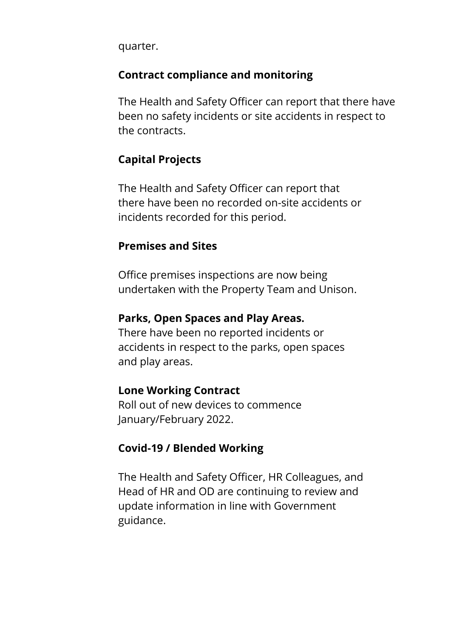quarter.

### **Contract compliance and monitoring**

The Health and Safety Officer can report that there have been no safety incidents or site accidents in respect to the contracts.

### **Capital Projects**

The Health and Safety Officer can report that there have been no recorded on-site accidents or incidents recorded for this period.

### **Premises and Sites**

Office premises inspections are now being undertaken with the Property Team and Unison.

#### **Parks, Open Spaces and Play Areas.**

There have been no reported incidents or accidents in respect to the parks, open spaces and play areas.

#### **Lone Working Contract**

Roll out of new devices to commence January/February 2022.

### **Covid-19 / Blended Working**

The Health and Safety Officer, HR Colleagues, and Head of HR and OD are continuing to review and update information in line with Government guidance.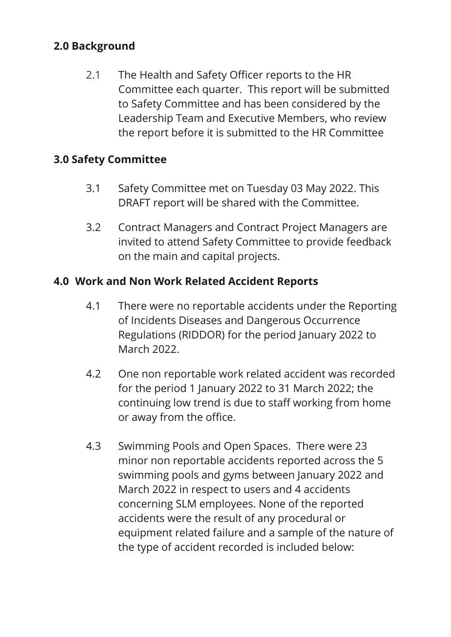## **2.0 Background**

2.1 The Health and Safety Officer reports to the HR Committee each quarter. This report will be submitted to Safety Committee and has been considered by the Leadership Team and Executive Members, who review the report before it is submitted to the HR Committee

## **3.0 Safety Committee**

- 3.1 Safety Committee met on Tuesday 03 May 2022. This DRAFT report will be shared with the Committee.
- 3.2 Contract Managers and Contract Project Managers are invited to attend Safety Committee to provide feedback on the main and capital projects.

### **4.0 Work and Non Work Related Accident Reports**

- 4.1 There were no reportable accidents under the Reporting of Incidents Diseases and Dangerous Occurrence Regulations (RIDDOR) for the period January 2022 to March 2022.
- 4.2 One non reportable work related accident was recorded for the period 1 January 2022 to 31 March 2022; the continuing low trend is due to staff working from home or away from the office.
- 4.3 Swimming Pools and Open Spaces. There were 23 minor non reportable accidents reported across the 5 swimming pools and gyms between January 2022 and March 2022 in respect to users and 4 accidents concerning SLM employees. None of the reported accidents were the result of any procedural or equipment related failure and a sample of the nature of the type of accident recorded is included below: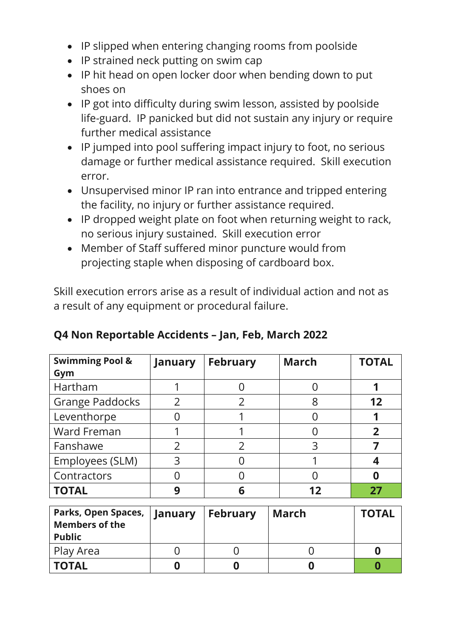- IP slipped when entering changing rooms from poolside
- IP strained neck putting on swim cap
- IP hit head on open locker door when bending down to put shoes on
- IP got into difficulty during swim lesson, assisted by poolside life-guard. IP panicked but did not sustain any injury or require further medical assistance
- IP jumped into pool suffering impact injury to foot, no serious damage or further medical assistance required. Skill execution error.
- Unsupervised minor IP ran into entrance and tripped entering the facility, no injury or further assistance required.
- IP dropped weight plate on foot when returning weight to rack, no serious injury sustained. Skill execution error
- Member of Staff suffered minor puncture would from projecting staple when disposing of cardboard box.

Skill execution errors arise as a result of individual action and not as a result of any equipment or procedural failure.

| <b>Swimming Pool &amp;</b> | January       | <b>February</b> | <b>March</b> | <b>TOTAL</b> |
|----------------------------|---------------|-----------------|--------------|--------------|
| Gym                        |               |                 |              |              |
| Hartham                    |               |                 |              |              |
| <b>Grange Paddocks</b>     |               |                 | 8            | 12           |
| Leventhorpe                |               |                 |              |              |
| Ward Freman                |               |                 |              |              |
| Fanshawe                   | $\mathcal{P}$ | ົາ              | 3            |              |
| Employees (SLM)            | 3             |                 |              |              |
| Contractors                |               |                 |              |              |
| <b>TOTAL</b>               | q             | 6               | 12           | 77           |

|  |  | Q4 Non Reportable Accidents – Jan, Feb, March 2022 |  |  |
|--|--|----------------------------------------------------|--|--|
|  |  |                                                    |  |  |

| Parks, Open Spaces,   January<br><b>Members of the</b><br><b>Public</b> | <b>February</b> | March | <b>TOTAL</b> |
|-------------------------------------------------------------------------|-----------------|-------|--------------|
| Play Area                                                               |                 |       |              |
| <b>TOTAL</b>                                                            |                 |       |              |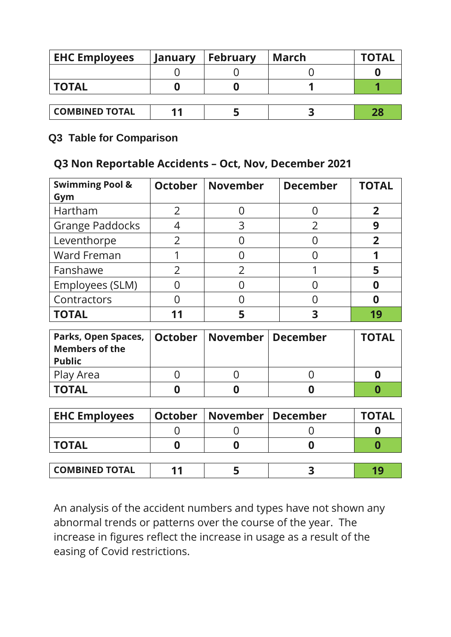| <b>EHC Employees</b>  | January | <b>February</b> | March | <b>TOTAL</b> |
|-----------------------|---------|-----------------|-------|--------------|
|                       |         |                 |       |              |
| <b>TOTAL</b>          |         |                 |       |              |
|                       |         |                 |       |              |
| <b>COMBINED TOTAL</b> |         |                 |       | 28           |

#### **Q3 Table for Comparison**

## **Q3 Non Reportable Accidents – Oct, Nov, December 2021**

| <b>Swimming Pool &amp;</b><br>Gym | <b>October</b> | <b>November</b> | <b>December</b> | <b>TOTAL</b> |
|-----------------------------------|----------------|-----------------|-----------------|--------------|
| Hartham                           |                |                 |                 |              |
| <b>Grange Paddocks</b>            |                | 3               |                 |              |
| Leventhorpe                       | $\mathcal{P}$  |                 |                 |              |
| Ward Freman                       |                |                 |                 |              |
| Fanshawe                          |                |                 |                 |              |
| Employees (SLM)                   |                |                 |                 |              |
| Contractors                       |                |                 |                 |              |
| <b>TOTAL</b>                      |                |                 |                 |              |

| Parks, Open Spaces,   October   November   December<br><b>Members of the</b><br><b>Public</b> |  | <b>TOTAL</b> |
|-----------------------------------------------------------------------------------------------|--|--------------|
| Play Area                                                                                     |  |              |
| <b>TOTAL</b>                                                                                  |  |              |

| <b>EHC Employees</b>  | <b>October</b> | <b>November   December</b> | <b>TOTAL</b> |
|-----------------------|----------------|----------------------------|--------------|
|                       |                |                            |              |
| <b>TOTAL</b>          |                |                            |              |
|                       |                |                            |              |
| <b>COMBINED TOTAL</b> |                |                            | 10           |

An analysis of the accident numbers and types have not shown any abnormal trends or patterns over the course of the year. The increase in figures reflect the increase in usage as a result of the easing of Covid restrictions.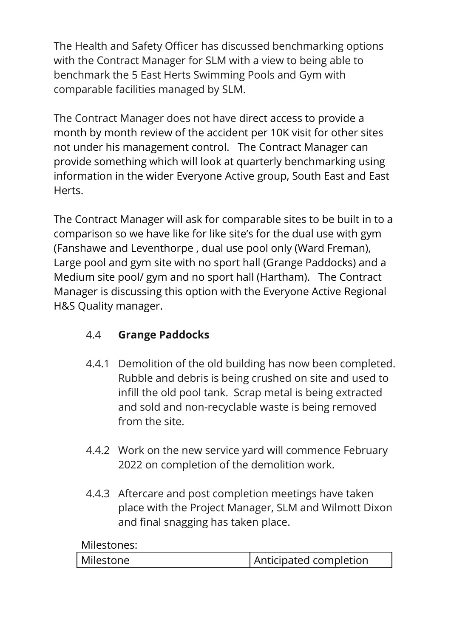The Health and Safety Officer has discussed benchmarking options with the Contract Manager for SLM with a view to being able to benchmark the 5 East Herts Swimming Pools and Gym with comparable facilities managed by SLM.

The Contract Manager does not have direct access to provide a month by month review of the accident per 10K visit for other sites not under his management control. The Contract Manager can provide something which will look at quarterly benchmarking using information in the wider Everyone Active group, South East and East Herts.

The Contract Manager will ask for comparable sites to be built in to a comparison so we have like for like site's for the dual use with gym (Fanshawe and Leventhorpe , dual use pool only (Ward Freman), Large pool and gym site with no sport hall (Grange Paddocks) and a Medium site pool/ gym and no sport hall (Hartham). The Contract Manager is discussing this option with the Everyone Active Regional H&S Quality manager.

## 4.4 **Grange Paddocks**

- 4.4.1 Demolition of the old building has now been completed. Rubble and debris is being crushed on site and used to infill the old pool tank. Scrap metal is being extracted and sold and non-recyclable waste is being removed from the site.
- 4.4.2 Work on the new service yard will commence February 2022 on completion of the demolition work.
- 4.4.3 Aftercare and post completion meetings have taken place with the Project Manager, SLM and Wilmott Dixon and final snagging has taken place.

Milestones:

| Milestone<br>Anticipated completion |
|-------------------------------------|
|-------------------------------------|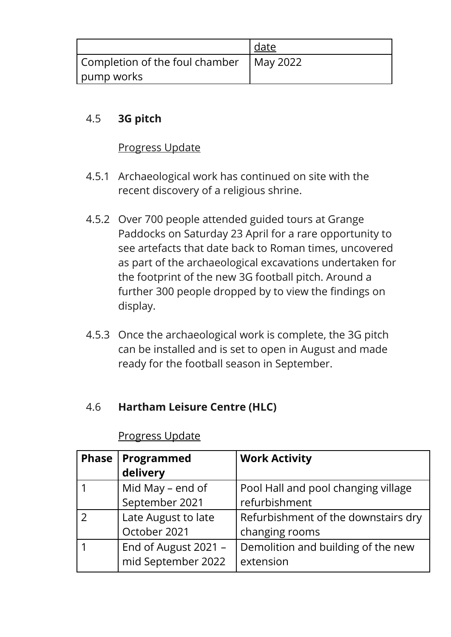|                                           | date |
|-------------------------------------------|------|
| Completion of the foul chamber   May 2022 |      |
| pump works                                |      |

## 4.5 **3G pitch**

### Progress Update

- 4.5.1 Archaeological work has continued on site with the recent discovery of a religious shrine.
- 4.5.2 Over 700 people attended guided tours at Grange Paddocks on Saturday 23 April for a rare opportunity to see artefacts that date back to Roman times, uncovered as part of the archaeological excavations undertaken for the footprint of the new 3G football pitch. Around a further 300 people dropped by to view the findings on display.
- 4.5.3 Once the archaeological work is complete, the 3G pitch can be installed and is set to open in August and made ready for the football season in September.

### 4.6 **Hartham Leisure Centre (HLC)**

| <b>Phase</b> | Programmed<br>delivery                     | <b>Work Activity</b>                                  |
|--------------|--------------------------------------------|-------------------------------------------------------|
|              | Mid May - end of<br>September 2021         | Pool Hall and pool changing village<br>refurbishment  |
|              | Late August to late<br>October 2021        | Refurbishment of the downstairs dry<br>changing rooms |
|              | End of August 2021 -<br>mid September 2022 | Demolition and building of the new<br>extension       |

### Progress Update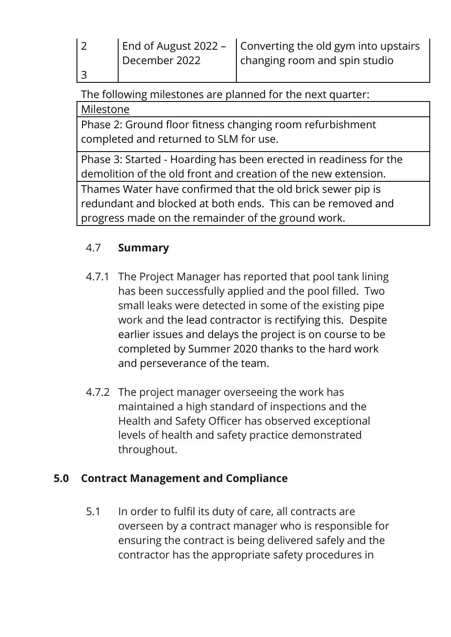The following milestones are planned for the next quarter:

## Milestone

3

Phase 2: Ground floor fitness changing room refurbishment completed and returned to SLM for use.

Phase 3: Started - Hoarding has been erected in readiness for the demolition of the old front and creation of the new extension.

Thames Water have confirmed that the old brick sewer pip is redundant and blocked at both ends. This can be removed and progress made on the remainder of the ground work.

# 4.7 **Summary**

- 4.7.1 The Project Manager has reported that pool tank lining has been successfully applied and the pool filled. Two small leaks were detected in some of the existing pipe work and the lead contractor is rectifying this. Despite earlier issues and delays the project is on course to be completed by Summer 2020 thanks to the hard work and perseverance of the team.
- 4.7.2 The project manager overseeing the work has maintained a high standard of inspections and the Health and Safety Officer has observed exceptional levels of health and safety practice demonstrated throughout.

# **5.0 Contract Management and Compliance**

5.1 In order to fulfil its duty of care, all contracts are overseen by a contract manager who is responsible for ensuring the contract is being delivered safely and the contractor has the appropriate safety procedures in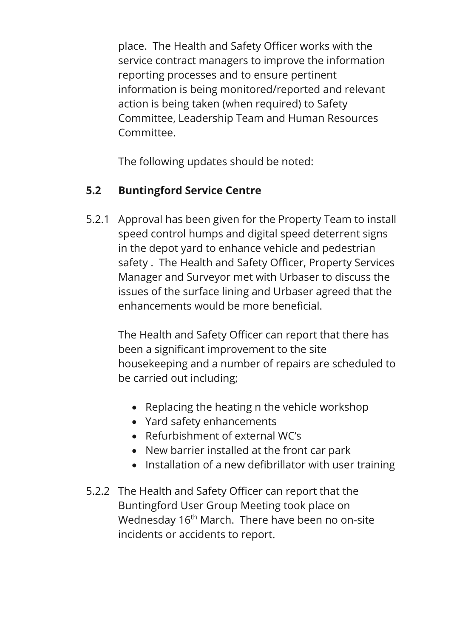place. The Health and Safety Officer works with the service contract managers to improve the information reporting processes and to ensure pertinent information is being monitored/reported and relevant action is being taken (when required) to Safety Committee, Leadership Team and Human Resources Committee.

The following updates should be noted:

## **5.2 Buntingford Service Centre**

5.2.1 Approval has been given for the Property Team to install speed control humps and digital speed deterrent signs in the depot yard to enhance vehicle and pedestrian safety . The Health and Safety Officer, Property Services Manager and Surveyor met with Urbaser to discuss the issues of the surface lining and Urbaser agreed that the enhancements would be more beneficial.

> The Health and Safety Officer can report that there has been a significant improvement to the site housekeeping and a number of repairs are scheduled to be carried out including;

- Replacing the heating n the vehicle workshop
- Yard safety enhancements
- Refurbishment of external WC's
- New barrier installed at the front car park
- Installation of a new defibrillator with user training
- 5.2.2 The Health and Safety Officer can report that the Buntingford User Group Meeting took place on Wednesday 16<sup>th</sup> March. There have been no on-site incidents or accidents to report.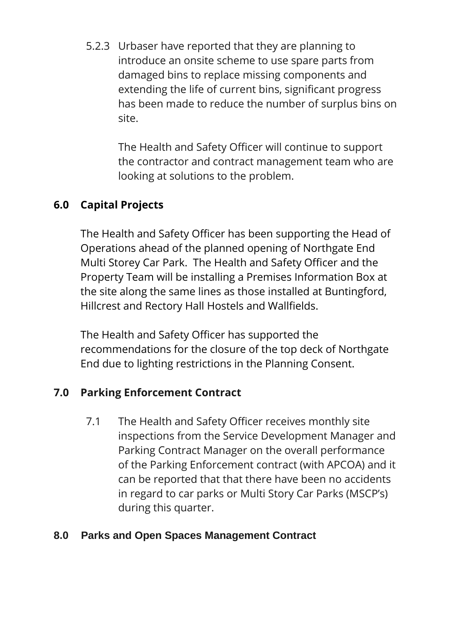5.2.3 Urbaser have reported that they are planning to introduce an onsite scheme to use spare parts from damaged bins to replace missing components and extending the life of current bins, significant progress has been made to reduce the number of surplus bins on site.

The Health and Safety Officer will continue to support the contractor and contract management team who are looking at solutions to the problem.

## **6.0 Capital Projects**

The Health and Safety Officer has been supporting the Head of Operations ahead of the planned opening of Northgate End Multi Storey Car Park. The Health and Safety Officer and the Property Team will be installing a Premises Information Box at the site along the same lines as those installed at Buntingford, Hillcrest and Rectory Hall Hostels and Wallfields.

The Health and Safety Officer has supported the recommendations for the closure of the top deck of Northgate End due to lighting restrictions in the Planning Consent.

### **7.0 Parking Enforcement Contract**

7.1 The Health and Safety Officer receives monthly site inspections from the Service Development Manager and Parking Contract Manager on the overall performance of the Parking Enforcement contract (with APCOA) and it can be reported that that there have been no accidents in regard to car parks or Multi Story Car Parks (MSCP's) during this quarter.

#### **8.0 Parks and Open Spaces Management Contract**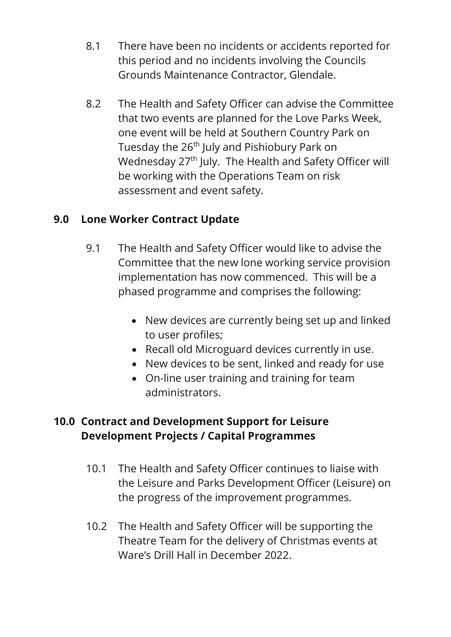- 8.1 There have been no incidents or accidents reported for this period and no incidents involving the Councils Grounds Maintenance Contractor, Glendale.
- 8.2 The Health and Safety Officer can advise the Committee that two events are planned for the Love Parks Week, one event will be held at Southern Country Park on Tuesday the 26<sup>th</sup> July and Pishiobury Park on Wednesday 27<sup>th</sup> July. The Health and Safety Officer will be working with the Operations Team on risk assessment and event safety.

## **9.0 Lone Worker Contract Update**

- 9.1 The Health and Safety Officer would like to advise the Committee that the new lone working service provision implementation has now commenced. This will be a phased programme and comprises the following:
	- New devices are currently being set up and linked to user profiles;
	- Recall old Microguard devices currently in use.
	- New devices to be sent, linked and ready for use
	- On-line user training and training for team administrators.

## **10.0 Contract and Development Support for Leisure Development Projects / Capital Programmes**

- 10.1 The Health and Safety Officer continues to liaise with the Leisure and Parks Development Officer (Leisure) on the progress of the improvement programmes.
- 10.2 The Health and Safety Officer will be supporting the Theatre Team for the delivery of Christmas events at Ware's Drill Hall in December 2022.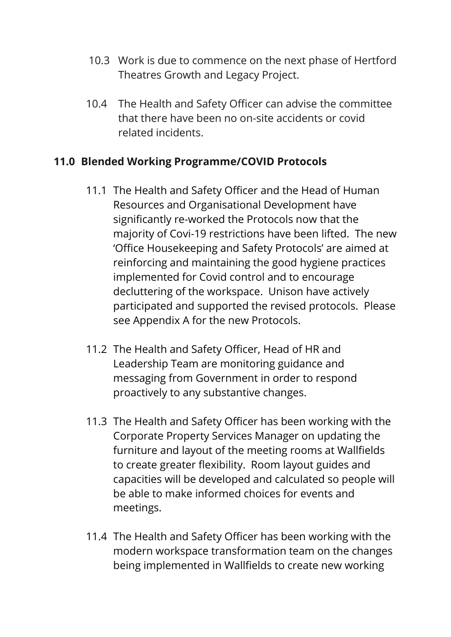- 10.3 Work is due to commence on the next phase of Hertford Theatres Growth and Legacy Project.
- 10.4 The Health and Safety Officer can advise the committee that there have been no on-site accidents or covid related incidents.

## **11.0 Blended Working Programme/COVID Protocols**

- 11.1 The Health and Safety Officer and the Head of Human Resources and Organisational Development have significantly re-worked the Protocols now that the majority of Covi-19 restrictions have been lifted. The new 'Office Housekeeping and Safety Protocols' are aimed at reinforcing and maintaining the good hygiene practices implemented for Covid control and to encourage decluttering of the workspace. Unison have actively participated and supported the revised protocols. Please see Appendix A for the new Protocols.
- 11.2 The Health and Safety Officer, Head of HR and Leadership Team are monitoring guidance and messaging from Government in order to respond proactively to any substantive changes.
- 11.3 The Health and Safety Officer has been working with the Corporate Property Services Manager on updating the furniture and layout of the meeting rooms at Wallfields to create greater flexibility. Room layout guides and capacities will be developed and calculated so people will be able to make informed choices for events and meetings.
- 11.4 The Health and Safety Officer has been working with the modern workspace transformation team on the changes being implemented in Wallfields to create new working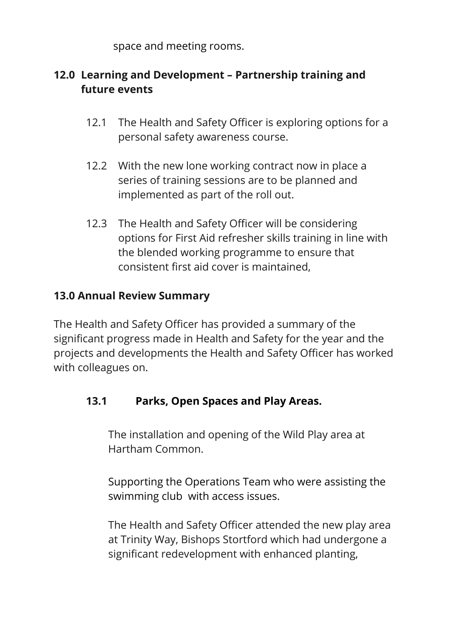space and meeting rooms.

## **12.0 Learning and Development – Partnership training and future events**

- 12.1 The Health and Safety Officer is exploring options for a personal safety awareness course.
- 12.2 With the new lone working contract now in place a series of training sessions are to be planned and implemented as part of the roll out.
- 12.3 The Health and Safety Officer will be considering options for First Aid refresher skills training in line with the blended working programme to ensure that consistent first aid cover is maintained,

## **13.0 Annual Review Summary**

The Health and Safety Officer has provided a summary of the significant progress made in Health and Safety for the year and the projects and developments the Health and Safety Officer has worked with colleagues on.

### **13.1 Parks, Open Spaces and Play Areas.**

The installation and opening of the Wild Play area at Hartham Common.

Supporting the Operations Team who were assisting the swimming club with access issues.

The Health and Safety Officer attended the new play area at Trinity Way, Bishops Stortford which had undergone a significant redevelopment with enhanced planting,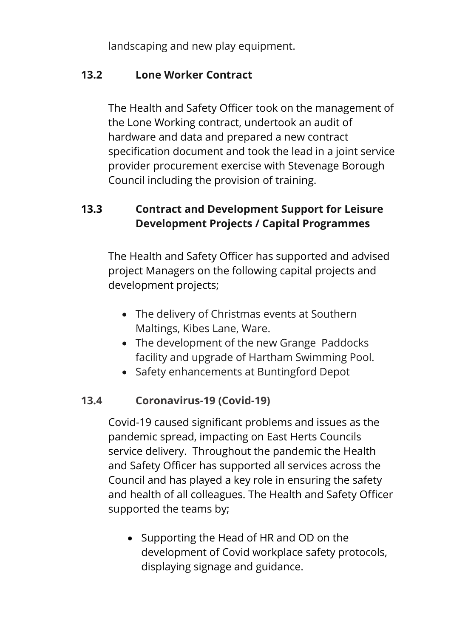landscaping and new play equipment.

### **13.2 Lone Worker Contract**

The Health and Safety Officer took on the management of the Lone Working contract, undertook an audit of hardware and data and prepared a new contract specification document and took the lead in a joint service provider procurement exercise with Stevenage Borough Council including the provision of training.

## **13.3 Contract and Development Support for Leisure Development Projects / Capital Programmes**

The Health and Safety Officer has supported and advised project Managers on the following capital projects and development projects;

- The delivery of Christmas events at Southern Maltings, Kibes Lane, Ware.
- The development of the new Grange Paddocks facility and upgrade of Hartham Swimming Pool.
- Safety enhancements at Buntingford Depot

## **13.4 Coronavirus-19 (Covid-19)**

Covid-19 caused significant problems and issues as the pandemic spread, impacting on East Herts Councils service delivery. Throughout the pandemic the Health and Safety Officer has supported all services across the Council and has played a key role in ensuring the safety and health of all colleagues. The Health and Safety Officer supported the teams by;

• Supporting the Head of HR and OD on the development of Covid workplace safety protocols, displaying signage and guidance.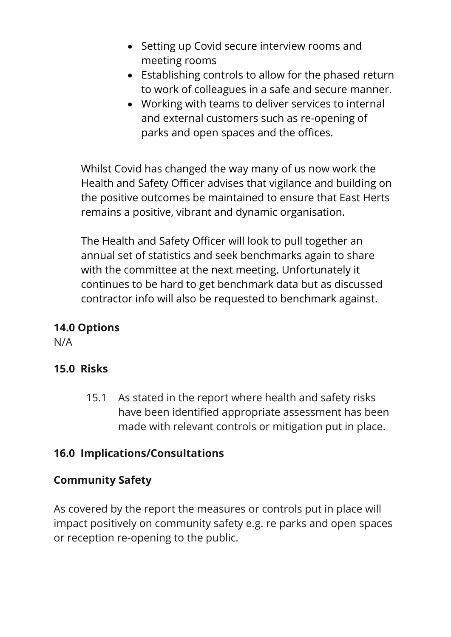- Setting up Covid secure interview rooms and meeting rooms
- Establishing controls to allow for the phased return to work of colleagues in a safe and secure manner.
- Working with teams to deliver services to internal and external customers such as re-opening of parks and open spaces and the offices.

Whilst Covid has changed the way many of us now work the Health and Safety Officer advises that vigilance and building on the positive outcomes be maintained to ensure that East Herts remains a positive, vibrant and dynamic organisation.

The Health and Safety Officer will look to pull together an annual set of statistics and seek benchmarks again to share with the committee at the next meeting. Unfortunately it continues to be hard to get benchmark data but as discussed contractor info will also be requested to benchmark against.

### **14.0 Options**

N/A

### **15.0 Risks**

15.1 As stated in the report where health and safety risks have been identified appropriate assessment has been made with relevant controls or mitigation put in place.

### **16.0 Implications/Consultations**

### **Community Safety**

As covered by the report the measures or controls put in place will impact positively on community safety e.g. re parks and open spaces or reception re-opening to the public.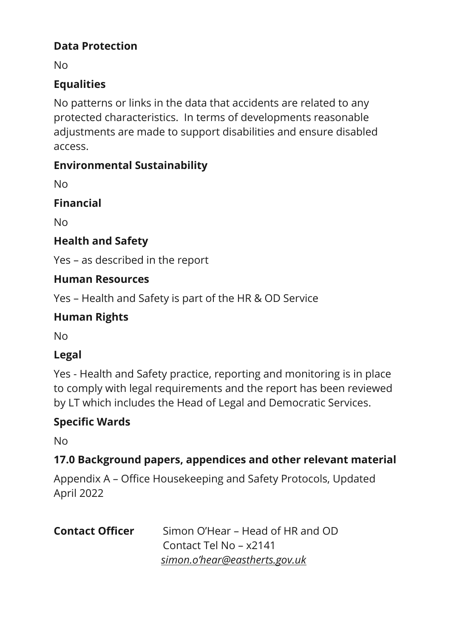## **Data Protection**

No

## **Equalities**

No patterns or links in the data that accidents are related to any protected characteristics. In terms of developments reasonable adjustments are made to support disabilities and ensure disabled access.

## **Environmental Sustainability**

No

**Financial**

No

## **Health and Safety**

Yes – as described in the report

## **Human Resources**

Yes – Health and Safety is part of the HR & OD Service

## **Human Rights**

No

## **Legal**

Yes - Health and Safety practice, reporting and monitoring is in place to comply with legal requirements and the report has been reviewed by LT which includes the Head of Legal and Democratic Services.

## **Specific Wards**

No

## **17.0 Background papers, appendices and other relevant material**

Appendix A – Office Housekeeping and Safety Protocols, Updated April 2022

| <b>Contact Officer</b> | Simon O'Hear – Head of HR and OD |  |  |
|------------------------|----------------------------------|--|--|
|                        | Contact Tel No - x2141           |  |  |
|                        | simon.o'hear@eastherts.gov.uk    |  |  |